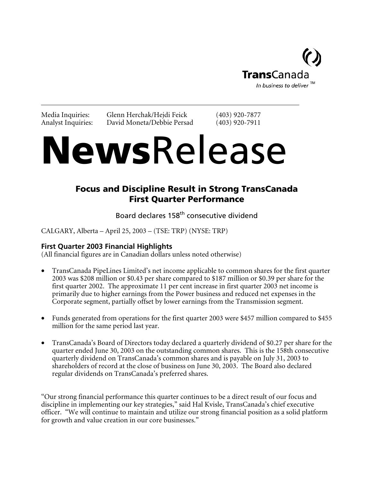

Media Inquiries: Glenn Herchak/Hejdi Feick (403) 920-7877<br>Analyst Inquiries: David Moneta/Debbie Persad (403) 920-7911 David Moneta/Debbie Persad (403) 920-7911

# NewsRelease

# Focus and Discipline Result in Strong TransCanada First Quarter Performance

Board declares 158<sup>th</sup> consecutive dividend

CALGARY, Alberta – April 25, 2003 – (TSE: TRP) (NYSE: TRP)

# **First Quarter 2003 Financial Highlights**

(All financial figures are in Canadian dollars unless noted otherwise)

- TransCanada PipeLines Limited's net income applicable to common shares for the first quarter 2003 was \$208 million or \$0.43 per share compared to \$187 million or \$0.39 per share for the first quarter 2002. The approximate 11 per cent increase in first quarter 2003 net income is primarily due to higher earnings from the Power business and reduced net expenses in the Corporate segment, partially offset by lower earnings from the Transmission segment.
- Funds generated from operations for the first quarter 2003 were \$457 million compared to \$455 million for the same period last year.
- TransCanada's Board of Directors today declared a quarterly dividend of \$0.27 per share for the quarter ended June 30, 2003 on the outstanding common shares. This is the 158th consecutive quarterly dividend on TransCanada's common shares and is payable on July 31, 2003 to shareholders of record at the close of business on June 30, 2003. The Board also declared regular dividends on TransCanada's preferred shares.

"Our strong financial performance this quarter continues to be a direct result of our focus and discipline in implementing our key strategies," said Hal Kvisle, TransCanada's chief executive officer. "We will continue to maintain and utilize our strong financial position as a solid platform for growth and value creation in our core businesses."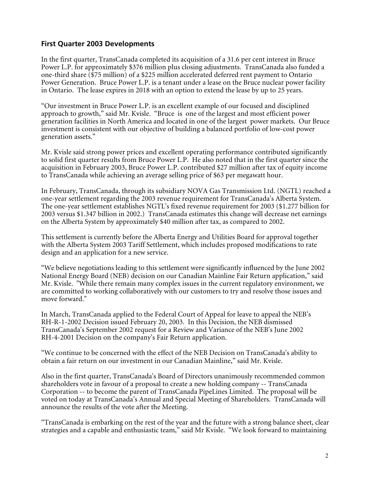# **First Quarter 2003 Developments**

In the first quarter, TransCanada completed its acquisition of a 31.6 per cent interest in Bruce Power L.P. for approximately \$376 million plus closing adjustments. TransCanada also funded a one-third share (\$75 million) of a \$225 million accelerated deferred rent payment to Ontario Power Generation. Bruce Power L.P. is a tenant under a lease on the Bruce nuclear power facility in Ontario. The lease expires in 2018 with an option to extend the lease by up to 25 years.

"Our investment in Bruce Power L.P. is an excellent example of our focused and disciplined approach to growth," said Mr. Kvisle. "Bruce is one of the largest and most efficient power generation facilities in North America and located in one of the largest power markets. Our Bruce investment is consistent with our objective of building a balanced portfolio of low-cost power generation assets."

Mr. Kvisle said strong power prices and excellent operating performance contributed significantly to solid first quarter results from Bruce Power L.P. He also noted that in the first quarter since the acquisition in February 2003, Bruce Power L.P. contributed \$27 million after tax of equity income to TransCanada while achieving an average selling price of \$63 per megawatt hour.

In February, TransCanada, through its subsidiary NOVA Gas Transmission Ltd. (NGTL) reached a one-year settlement regarding the 2003 revenue requirement for TransCanada's Alberta System. The one-year settlement establishes NGTL's fixed revenue requirement for 2003 (\$1.277 billion for 2003 versus \$1.347 billion in 2002.) TransCanada estimates this change will decrease net earnings on the Alberta System by approximately \$40 million after tax, as compared to 2002.

This settlement is currently before the Alberta Energy and Utilities Board for approval together with the Alberta System 2003 Tariff Settlement, which includes proposed modifications to rate design and an application for a new service.

"We believe negotiations leading to this settlement were significantly influenced by the June 2002 National Energy Board (NEB) decision on our Canadian Mainline Fair Return application," said Mr. Kvisle. "While there remain many complex issues in the current regulatory environment, we are committed to working collaboratively with our customers to try and resolve those issues and move forward."

In March, TransCanada applied to the Federal Court of Appeal for leave to appeal the NEB's RH-R-1-2002 Decision issued February 20, 2003. In this Decision, the NEB dismissed TransCanada's September 2002 request for a Review and Variance of the NEB's June 2002 RH-4-2001 Decision on the company's Fair Return application.

"We continue to be concerned with the effect of the NEB Decision on TransCanada's ability to obtain a fair return on our investment in our Canadian Mainline," said Mr. Kvisle.

Also in the first quarter, TransCanada's Board of Directors unanimously recommended common shareholders vote in favour of a proposal to create a new holding company -- TransCanada Corporation -- to become the parent of TransCanada PipeLines Limited. The proposal will be voted on today at TransCanada's Annual and Special Meeting of Shareholders. TransCanada will announce the results of the vote after the Meeting.

"TransCanada is embarking on the rest of the year and the future with a strong balance sheet, clear strategies and a capable and enthusiastic team," said Mr Kvisle. "We look forward to maintaining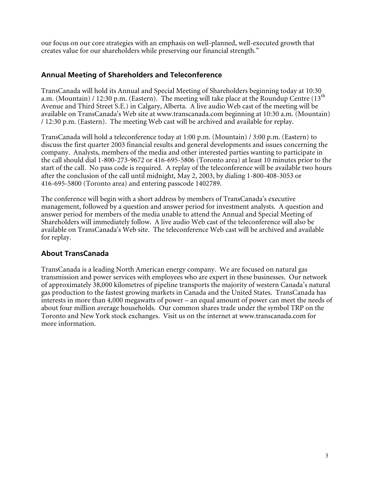our focus on our core strategies with an emphasis on well-planned, well-executed growth that creates value for our shareholders while preserving our financial strength."

# **Annual Meeting of Shareholders and Teleconference**

TransCanada will hold its Annual and Special Meeting of Shareholders beginning today at 10:30 a.m. (Mountain) / 12:30 p.m. (Eastern). The meeting will take place at the Roundup Centre  $(13<sup>th</sup>$ Avenue and Third Street S.E.) in Calgary, Alberta. A live audio Web cast of the meeting will be available on TransCanada's Web site at www.transcanada.com beginning at 10:30 a.m. (Mountain) / 12:30 p.m. (Eastern). The meeting Web cast will be archived and available for replay.

TransCanada will hold a teleconference today at 1:00 p.m. (Mountain) / 3:00 p.m. (Eastern) to discuss the first quarter 2003 financial results and general developments and issues concerning the company. Analysts, members of the media and other interested parties wanting to participate in the call should dial 1-800-273-9672 or 416-695-5806 (Toronto area) at least 10 minutes prior to the start of the call. No pass code is required. A replay of the teleconference will be available two hours after the conclusion of the call until midnight, May 2, 2003, by dialing 1-800-408-3053 or 416-695-5800 (Toronto area) and entering passcode 1402789.

The conference will begin with a short address by members of TransCanada's executive management, followed by a question and answer period for investment analysts. A question and answer period for members of the media unable to attend the Annual and Special Meeting of Shareholders will immediately follow. A live audio Web cast of the teleconference will also be available on TransCanada's Web site. The teleconference Web cast will be archived and available for replay.

# **About TransCanada**

TransCanada is a leading North American energy company. We are focused on natural gas transmission and power services with employees who are expert in these businesses. Our network of approximately 38,000 kilometres of pipeline transports the majority of western Canada's natural gas production to the fastest growing markets in Canada and the United States. TransCanada has interests in more than 4,000 megawatts of power – an equal amount of power can meet the needs of about four million average households. Our common shares trade under the symbol TRP on the Toronto and New York stock exchanges. Visit us on the internet at www.transcanada.com for more information.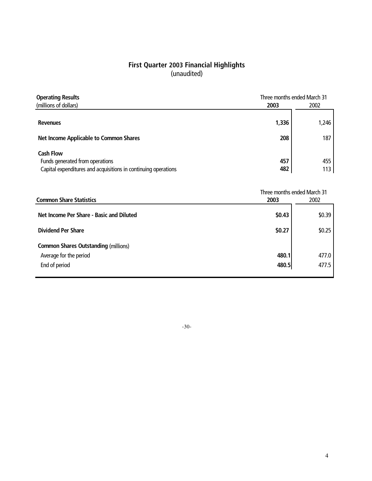# **First Quarter 2003 Financial Highlights** (unaudited)

| <b>Operating Results</b>                                       | Three months ended March 31 |       |
|----------------------------------------------------------------|-----------------------------|-------|
| (millions of dollars)                                          | 2003                        | 2002  |
|                                                                |                             |       |
| <b>Revenues</b>                                                | 1,336                       | 1,246 |
| <b>Net Income Applicable to Common Shares</b>                  | 208                         | 187   |
| <b>Cash Flow</b>                                               |                             |       |
| Funds generated from operations                                | 457                         | 455   |
| Capital expenditures and acquisitions in continuing operations | 482                         | 113   |

|                                             | Three months ended March 31 |        |
|---------------------------------------------|-----------------------------|--------|
| <b>Common Share Statistics</b>              | 2003<br>2002                |        |
| Net Income Per Share - Basic and Diluted    | \$0.43                      | \$0.39 |
| <b>Dividend Per Share</b>                   | \$0.27                      | \$0.25 |
| <b>Common Shares Outstanding (millions)</b> |                             |        |
| Average for the period                      | 480.1                       | 477.0  |
| End of period                               | 480.5                       | 477.5  |

-30-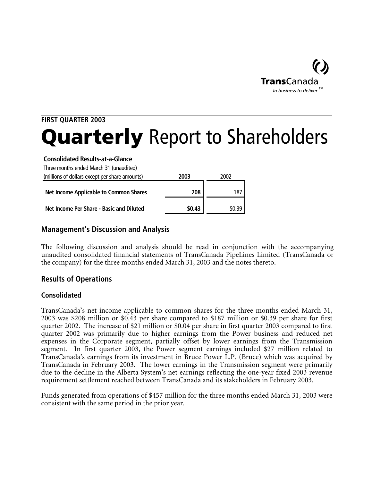

# **FIRST QUARTER 2003 Quarterly** Report to Shareholders

#### **Consolidated Results-at-a-Glance**

Three months ended March 31 (unaudited)

| (millions of dollars except per share amounts) | 2003   | 2002   |
|------------------------------------------------|--------|--------|
| Net Income Applicable to Common Shares         | 208    | 187    |
| Net Income Per Share - Basic and Diluted       | \$0.43 | \$0.39 |

# **Management's Discussion and Analysis**

The following discussion and analysis should be read in conjunction with the accompanying unaudited consolidated financial statements of TransCanada PipeLines Limited (TransCanada or the company) for the three months ended March 31, 2003 and the notes thereto.

# **Results of Operations**

# **Consolidated**

TransCanada's net income applicable to common shares for the three months ended March 31, 2003 was \$208 million or \$0.43 per share compared to \$187 million or \$0.39 per share for first quarter 2002. The increase of \$21 million or \$0.04 per share in first quarter 2003 compared to first quarter 2002 was primarily due to higher earnings from the Power business and reduced net expenses in the Corporate segment, partially offset by lower earnings from the Transmission segment. In first quarter 2003, the Power segment earnings included \$27 million related to TransCanada's earnings from its investment in Bruce Power L.P. (Bruce) which was acquired by TransCanada in February 2003. The lower earnings in the Transmission segment were primarily due to the decline in the Alberta System's net earnings reflecting the one-year fixed 2003 revenue requirement settlement reached between TransCanada and its stakeholders in February 2003.

Funds generated from operations of \$457 million for the three months ended March 31, 2003 were consistent with the same period in the prior year.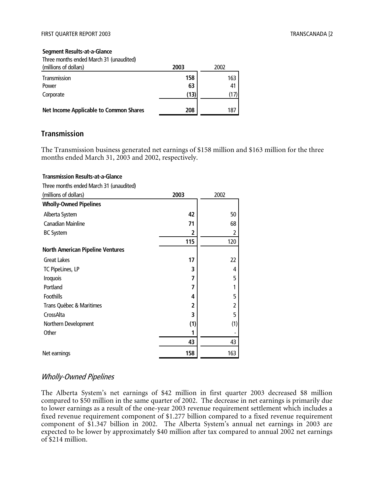#### **Segment Results-at-a-Glance**

Three months ended March 31 (unaudited)

| (millions of dollars)                         | 2003 | 2002 |
|-----------------------------------------------|------|------|
| Transmission                                  | 158  | 163  |
| Power                                         | 63   | 41   |
| Corporate                                     | (13) |      |
| <b>Net Income Applicable to Common Shares</b> | 208  | 187  |

#### **Transmission**

**Transmission Results-at-a-Glance**

The Transmission business generated net earnings of \$158 million and \$163 million for the three months ended March 31, 2003 and 2002, respectively.

# Three months ended March 31 (unaudited) (millions of dollars) **2003** 2002 **Wholly-Owned Pipelines** Alberta System 50 Canadian Mainline 68 BC System **2** 2 **115** 120 **North American Pipeline Ventures** Great Lakes 22 TC PipeLines, LP 4 Iroquois **7** 5 Portland 1 Foothills 5 Trans Québec & Maritimes **2** 2 CrossAlta **3** 5 Northern Development (1) (1) Other **1** - **1** - **1** - **1** - **1** - **1** - **1** - **1** - **1** - **1** - **1** - **1** - **1** - **1** - **1** - **1** - **1** - **1** - **1** - **1** - **1** - **1** - **1** - **1** - **1** - **1** - **1** - **1** - **1** - **1** - **1** - **1** - **1** - **1** - **1** - **1** -  **43** 43 Net earnings 158 | 163

# Wholly-Owned Pipelines

The Alberta System's net earnings of \$42 million in first quarter 2003 decreased \$8 million compared to \$50 million in the same quarter of 2002. The decrease in net earnings is primarily due to lower earnings as a result of the one-year 2003 revenue requirement settlement which includes a fixed revenue requirement component of \$1.277 billion compared to a fixed revenue requirement component of \$1.347 billion in 2002. The Alberta System's annual net earnings in 2003 are expected to be lower by approximately \$40 million after tax compared to annual 2002 net earnings of \$214 million.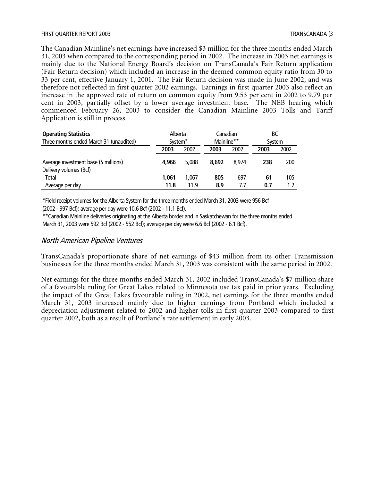The Canadian Mainline's net earnings have increased \$3 million for the three months ended March 31, 2003 when compared to the corresponding period in 2002. The increase in 2003 net earnings is mainly due to the National Energy Board's decision on TransCanada's Fair Return application (Fair Return decision) which included an increase in the deemed common equity ratio from 30 to 33 per cent, effective January 1, 2001. The Fair Return decision was made in June 2002, and was therefore not reflected in first quarter 2002 earnings. Earnings in first quarter 2003 also reflect an increase in the approved rate of return on common equity from 9.53 per cent in 2002 to 9.79 per cent in 2003, partially offset by a lower average investment base. The NEB hearing which commenced February 26, 2003 to consider the Canadian Mainline 2003 Tolls and Tariff Application is still in process.

| <b>Operating Statistics</b>                                     | Alberta             |       | Canadian   |       | BС     |      |
|-----------------------------------------------------------------|---------------------|-------|------------|-------|--------|------|
| Three months ended March 31 (unaudited)                         | System <sup>*</sup> |       | Mainline** |       | System |      |
|                                                                 | 2003                | 2002  | 2003       | 2002  | 2003   | 2002 |
| Average investment base (\$ millions)<br>Delivery volumes (Bcf) | 4,966               | 5.088 | 8.692      | 8.974 | 238    | 200  |
| <b>Total</b>                                                    | 1,061               | 1.067 | 805        | 697   | 61     | 105  |
| Average per day                                                 | 11.8                | 11.9  | 8.9        | 7.7   | 0.7    | 1.2  |

\*Field receipt volumes for the Alberta System for the three months ended March 31, 2003 were 956 Bcf (2002 - 997 Bcf); average per day were 10.6 Bcf (2002 - 11.1 Bcf).

\*\*Canadian Mainline deliveries originating at the Alberta border and in Saskatchewan for the three months ended March 31, 2003 were 592 Bcf (2002 - 552 Bcf); average per day were 6.6 Bcf (2002 - 6.1 Bcf).

#### North American Pipeline Ventures

TransCanada's proportionate share of net earnings of \$43 million from its other Transmission businesses for the three months ended March 31, 2003 was consistent with the same period in 2002.

Net earnings for the three months ended March 31, 2002 included TransCanada's \$7 million share of a favourable ruling for Great Lakes related to Minnesota use tax paid in prior years. Excluding the impact of the Great Lakes favourable ruling in 2002, net earnings for the three months ended March 31, 2003 increased mainly due to higher earnings from Portland which included a depreciation adjustment related to 2002 and higher tolls in first quarter 2003 compared to first quarter 2002, both as a result of Portland's rate settlement in early 2003.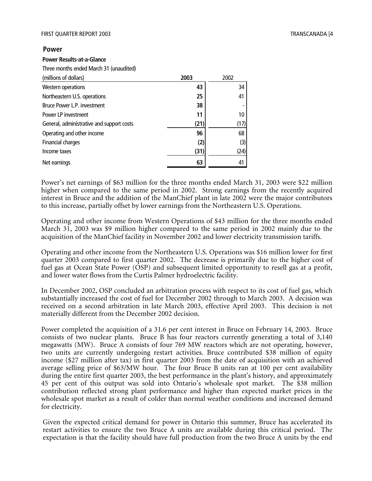#### **Power**

#### **Power Results-at-a-Glance**

Three months ended March 31 (unaudited)

| (millions of dollars)                     | 2003 | 2002 |
|-------------------------------------------|------|------|
| Western operations                        | 43   | 34   |
| Northeastern U.S. operations              | 25   | 41   |
| Bruce Power L.P. investment               | 38   |      |
| Power LP investment                       | 11   | 10   |
| General, administrative and support costs | (21) | (17) |
| Operating and other income                | 96   | 68   |
| Financial charges                         | (2)  | (3)  |
| Income taxes                              | (31) | (24) |
| Net earnings                              | 63   |      |

Power's net earnings of \$63 million for the three months ended March 31, 2003 were \$22 million higher when compared to the same period in 2002. Strong earnings from the recently acquired interest in Bruce and the addition of the ManChief plant in late 2002 were the major contributors to this increase, partially offset by lower earnings from the Northeastern U.S. Operations.

Operating and other income from Western Operations of \$43 million for the three months ended March 31, 2003 was \$9 million higher compared to the same period in 2002 mainly due to the acquisition of the ManChief facility in November 2002 and lower electricity transmission tariffs.

Operating and other income from the Northeastern U.S. Operations was \$16 million lower for first quarter 2003 compared to first quarter 2002. The decrease is primarily due to the higher cost of fuel gas at Ocean State Power (OSP) and subsequent limited opportunity to resell gas at a profit, and lower water flows from the Curtis Palmer hydroelectric facility.

In December 2002, OSP concluded an arbitration process with respect to its cost of fuel gas, which substantially increased the cost of fuel for December 2002 through to March 2003. A decision was received on a second arbitration in late March 2003, effective April 2003. This decision is not materially different from the December 2002 decision.

Power completed the acquisition of a 31.6 per cent interest in Bruce on February 14, 2003. Bruce consists of two nuclear plants. Bruce B has four reactors currently generating a total of 3,140 megawatts (MW). Bruce A consists of four 769 MW reactors which are not operating, however, two units are currently undergoing restart activities. Bruce contributed \$38 million of equity income (\$27 million after tax) in first quarter 2003 from the date of acquisition with an achieved average selling price of \$63/MW hour. The four Bruce B units ran at 100 per cent availability during the entire first quarter 2003, the best performance in the plant's history, and approximately 45 per cent of this output was sold into Ontario's wholesale spot market. The \$38 million contribution reflected strong plant performance and higher than expected market prices in the wholesale spot market as a result of colder than normal weather conditions and increased demand for electricity.

Given the expected critical demand for power in Ontario this summer, Bruce has accelerated its restart activities to ensure the two Bruce A units are available during this critical period. The expectation is that the facility should have full production from the two Bruce A units by the end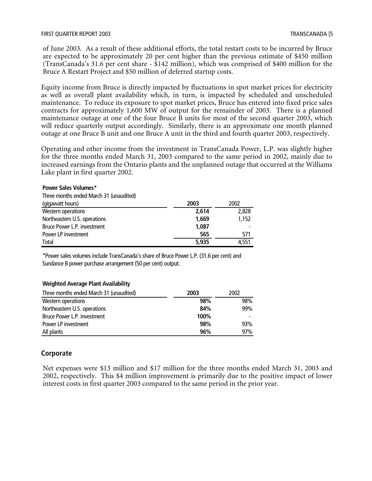of June 2003. As a result of these additional efforts, the total restart costs to be incurred by Bruce are expected to be approximately 20 per cent higher than the previous estimate of \$450 million (TransCanada's 31.6 per cent share - \$142 million), which was comprised of \$400 million for the Bruce A Restart Project and \$50 million of deferred startup costs.

Equity income from Bruce is directly impacted by fluctuations in spot market prices for electricity as well as overall plant availability which, in turn, is impacted by scheduled and unscheduled maintenance. To reduce its exposure to spot market prices, Bruce has entered into fixed price sales contracts for approximately 1,600 MW of output for the remainder of 2003. There is a planned maintenance outage at one of the four Bruce B units for most of the second quarter 2003, which will reduce quarterly output accordingly. Similarly, there is an approximate one month planned outage at one Bruce B unit and one Bruce A unit in the third and fourth quarter 2003, respectively.

Operating and other income from the investment in TransCanada Power, L.P. was slightly higher for the three months ended March 31, 2003 compared to the same period in 2002, mainly due to increased earnings from the Ontario plants and the unplanned outage that occurred at the Williams Lake plant in first quarter 2002.

| Three months ended March 31 (unaudited) |       |       |
|-----------------------------------------|-------|-------|
| (gigawatt hours)                        | 2003  | 2002  |
| Western operations                      | 2,614 | 2,828 |
| Northeastern U.S. operations            | 1,669 | 1,152 |
| Bruce Power L.P. investment             | 1,087 |       |
| Power LP investment                     | 565   | 571   |
| Total                                   | 5,935 | 4.551 |
|                                         |       |       |

\*Power sales volumes include TransCanada's share of Bruce Power L.P. (31.6 per cent) and Sundance B power purchase arrangement (50 per cent) output.

#### **Weighted Average Plant Availability**

**Power Sales Volumes\***

| Three months ended March 31 (unaudited) | 2003 | 2002 |
|-----------------------------------------|------|------|
| Western operations                      | 98%  | 98%  |
| Northeastern U.S. operations            | 84%  | 99%  |
| Bruce Power L.P. investment             | 100% |      |
| Power LP investment                     | 98%  | 93%  |
| All plants                              | 96%  | 97%  |

#### **Corporate**

Net expenses were \$13 million and \$17 million for the three months ended March 31, 2003 and 2002, respectively. This \$4 million improvement is primarily due to the positive impact of lower interest costs in first quarter 2003 compared to the same period in the prior year.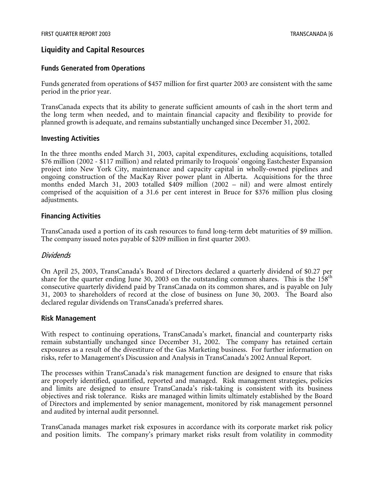# **Liquidity and Capital Resources**

#### **Funds Generated from Operations**

Funds generated from operations of \$457 million for first quarter 2003 are consistent with the same period in the prior year.

TransCanada expects that its ability to generate sufficient amounts of cash in the short term and the long term when needed, and to maintain financial capacity and flexibility to provide for planned growth is adequate, and remains substantially unchanged since December 31, 2002.

#### **Investing Activities**

In the three months ended March 31, 2003, capital expenditures, excluding acquisitions, totalled \$76 million (2002 - \$117 million) and related primarily to Iroquois' ongoing Eastchester Expansion project into New York City, maintenance and capacity capital in wholly-owned pipelines and ongoing construction of the MacKay River power plant in Alberta. Acquisitions for the three months ended March 31, 2003 totalled \$409 million (2002 – nil) and were almost entirely comprised of the acquisition of a 31.6 per cent interest in Bruce for \$376 million plus closing adjustments.

#### **Financing Activities**

TransCanada used a portion of its cash resources to fund long-term debt maturities of \$9 million. The company issued notes payable of \$209 million in first quarter 2003.

#### Dividends

On April 25, 2003, TransCanada's Board of Directors declared a quarterly dividend of \$0.27 per share for the quarter ending June 30, 2003 on the outstanding common shares. This is the  $158<sup>th</sup>$ consecutive quarterly dividend paid by TransCanada on its common shares, and is payable on July 31, 2003 to shareholders of record at the close of business on June 30, 2003. The Board also declared regular dividends on TransCanada's preferred shares.

#### **Risk Management**

With respect to continuing operations, TransCanada's market, financial and counterparty risks remain substantially unchanged since December 31, 2002. The company has retained certain exposures as a result of the divestiture of the Gas Marketing business. For further information on risks, refer to Management's Discussion and Analysis in TransCanada's 2002 Annual Report.

The processes within TransCanada's risk management function are designed to ensure that risks are properly identified, quantified, reported and managed. Risk management strategies, policies and limits are designed to ensure TransCanada's risk-taking is consistent with its business objectives and risk tolerance. Risks are managed within limits ultimately established by the Board of Directors and implemented by senior management, monitored by risk management personnel and audited by internal audit personnel.

TransCanada manages market risk exposures in accordance with its corporate market risk policy and position limits. The company's primary market risks result from volatility in commodity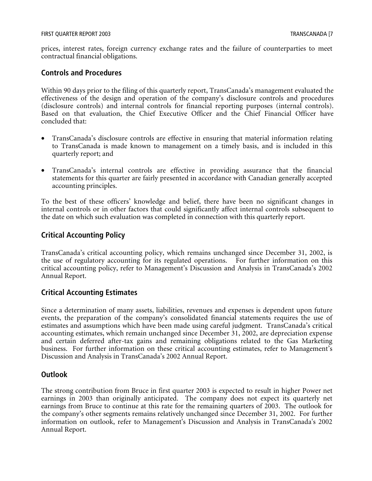prices, interest rates, foreign currency exchange rates and the failure of counterparties to meet contractual financial obligations.

#### **Controls and Procedures**

Within 90 days prior to the filing of this quarterly report, TransCanada's management evaluated the effectiveness of the design and operation of the company's disclosure controls and procedures (disclosure controls) and internal controls for financial reporting purposes (internal controls). Based on that evaluation, the Chief Executive Officer and the Chief Financial Officer have concluded that:

- TransCanada's disclosure controls are effective in ensuring that material information relating to TransCanada is made known to management on a timely basis, and is included in this quarterly report; and
- TransCanada's internal controls are effective in providing assurance that the financial statements for this quarter are fairly presented in accordance with Canadian generally accepted accounting principles.

To the best of these officers' knowledge and belief, there have been no significant changes in internal controls or in other factors that could significantly affect internal controls subsequent to the date on which such evaluation was completed in connection with this quarterly report.

# **Critical Accounting Policy**

TransCanada's critical accounting policy, which remains unchanged since December 31, 2002, is the use of regulatory accounting for its regulated operations. For further information on this critical accounting policy, refer to Management's Discussion and Analysis in TransCanada's 2002 Annual Report.

# **Critical Accounting Estimates**

Since a determination of many assets, liabilities, revenues and expenses is dependent upon future events, the preparation of the company's consolidated financial statements requires the use of estimates and assumptions which have been made using careful judgment. TransCanada's critical accounting estimates, which remain unchanged since December 31, 2002, are depreciation expense and certain deferred after-tax gains and remaining obligations related to the Gas Marketing business. For further information on these critical accounting estimates, refer to Management's Discussion and Analysis in TransCanada's 2002 Annual Report.

# **Outlook**

The strong contribution from Bruce in first quarter 2003 is expected to result in higher Power net earnings in 2003 than originally anticipated. The company does not expect its quarterly net earnings from Bruce to continue at this rate for the remaining quarters of 2003. The outlook for the company's other segments remains relatively unchanged since December 31, 2002. For further information on outlook, refer to Management's Discussion and Analysis in TransCanada's 2002 Annual Report.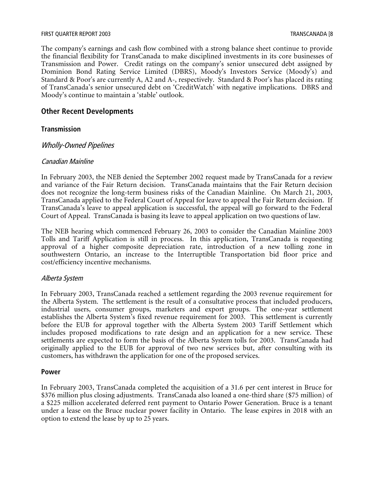#### FIRST QUARTER REPORT 2003 TRANSCANADA [8

The company's earnings and cash flow combined with a strong balance sheet continue to provide the financial flexibility for TransCanada to make disciplined investments in its core businesses of Transmission and Power. Credit ratings on the company's senior unsecured debt assigned by Dominion Bond Rating Service Limited (DBRS), Moody's Investors Service (Moody's) and Standard & Poor's are currently A, A2 and A-, respectively. Standard & Poor's has placed its rating of TransCanada's senior unsecured debt on 'CreditWatch' with negative implications. DBRS and Moody's continue to maintain a 'stable' outlook.

#### **Other Recent Developments**

#### **Transmission**

#### Wholly-Owned Pipelines

#### Canadian Mainline

In February 2003, the NEB denied the September 2002 request made by TransCanada for a review and variance of the Fair Return decision. TransCanada maintains that the Fair Return decision does not recognize the long-term business risks of the Canadian Mainline. On March 21, 2003, TransCanada applied to the Federal Court of Appeal for leave to appeal the Fair Return decision. If TransCanada's leave to appeal application is successful, the appeal will go forward to the Federal Court of Appeal. TransCanada is basing its leave to appeal application on two questions of law.

The NEB hearing which commenced February 26, 2003 to consider the Canadian Mainline 2003 Tolls and Tariff Application is still in process. In this application, TransCanada is requesting approval of a higher composite depreciation rate, introduction of a new tolling zone in southwestern Ontario, an increase to the Interruptible Transportation bid floor price and cost/efficiency incentive mechanisms.

#### Alberta System

In February 2003, TransCanada reached a settlement regarding the 2003 revenue requirement for the Alberta System. The settlement is the result of a consultative process that included producers, industrial users, consumer groups, marketers and export groups. The one-year settlement establishes the Alberta System's fixed revenue requirement for 2003. This settlement is currently before the EUB for approval together with the Alberta System 2003 Tariff Settlement which includes proposed modifications to rate design and an application for a new service. These settlements are expected to form the basis of the Alberta System tolls for 2003. TransCanada had originally applied to the EUB for approval of two new services but, after consulting with its customers, has withdrawn the application for one of the proposed services.

#### **Power**

In February 2003, TransCanada completed the acquisition of a 31.6 per cent interest in Bruce for \$376 million plus closing adjustments. TransCanada also loaned a one-third share (\$75 million) of a \$225 million accelerated deferred rent payment to Ontario Power Generation. Bruce is a tenant under a lease on the Bruce nuclear power facility in Ontario. The lease expires in 2018 with an option to extend the lease by up to 25 years.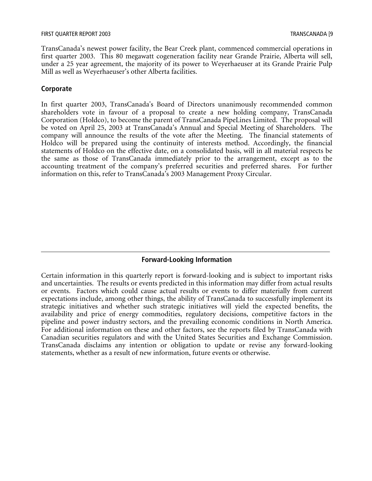TransCanada's newest power facility, the Bear Creek plant, commenced commercial operations in first quarter 2003. This 80 megawatt cogeneration facility near Grande Prairie, Alberta will sell, under a 25 year agreement, the majority of its power to Weyerhaeuser at its Grande Prairie Pulp Mill as well as Weyerhaeuser's other Alberta facilities.

#### **Corporate**

In first quarter 2003, TransCanada's Board of Directors unanimously recommended common shareholders vote in favour of a proposal to create a new holding company, TransCanada Corporation (Holdco), to become the parent of TransCanada PipeLines Limited. The proposal will be voted on April 25, 2003 at TransCanada's Annual and Special Meeting of Shareholders. The company will announce the results of the vote after the Meeting. The financial statements of Holdco will be prepared using the continuity of interests method. Accordingly, the financial statements of Holdco on the effective date, on a consolidated basis, will in all material respects be the same as those of TransCanada immediately prior to the arrangement, except as to the accounting treatment of the company's preferred securities and preferred shares. For further information on this, refer to TransCanada's 2003 Management Proxy Circular.

# **Forward-Looking Information**

Certain information in this quarterly report is forward-looking and is subject to important risks and uncertainties. The results or events predicted in this information may differ from actual results or events. Factors which could cause actual results or events to differ materially from current expectations include, among other things, the ability of TransCanada to successfully implement its strategic initiatives and whether such strategic initiatives will yield the expected benefits, the availability and price of energy commodities, regulatory decisions, competitive factors in the pipeline and power industry sectors, and the prevailing economic conditions in North America. For additional information on these and other factors, see the reports filed by TransCanada with Canadian securities regulators and with the United States Securities and Exchange Commission. TransCanada disclaims any intention or obligation to update or revise any forward-looking statements, whether as a result of new information, future events or otherwise.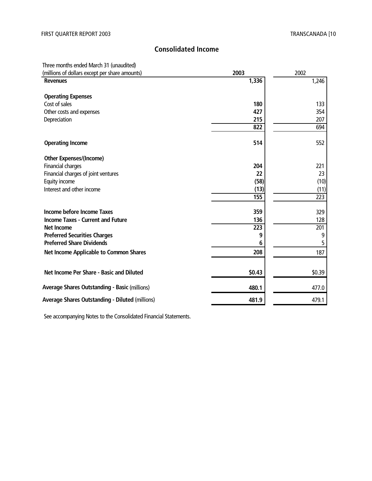# **Consolidated Income**

Three months ended March 31 (unaudited)

| (millions of dollars except per share amounts)         | 2003   | 2002   |
|--------------------------------------------------------|--------|--------|
| <b>Revenues</b>                                        | 1,336  | 1,246  |
| <b>Operating Expenses</b>                              |        |        |
| Cost of sales                                          | 180    | 133    |
| Other costs and expenses                               | 427    | 354    |
| Depreciation                                           | 215    | 207    |
|                                                        | 822    | 694    |
| <b>Operating Income</b>                                | 514    | 552    |
| <b>Other Expenses/(Income)</b>                         |        |        |
| Financial charges                                      | 204    | 221    |
| Financial charges of joint ventures                    | 22     | 23     |
| Equity income                                          | (58)   | (10)   |
| Interest and other income                              | (13)   | (11)   |
|                                                        | 155    | 223    |
| Income before Income Taxes                             | 359    | 329    |
| <b>Income Taxes - Current and Future</b>               | 136    | 128    |
| <b>Net Income</b>                                      | 223    | 201    |
| <b>Preferred Securities Charges</b>                    | 9      | 9      |
| <b>Preferred Share Dividends</b>                       | 6      | 5      |
| <b>Net Income Applicable to Common Shares</b>          | 208    | 187    |
|                                                        |        |        |
| Net Income Per Share - Basic and Diluted               | \$0.43 | \$0.39 |
| <b>Average Shares Outstanding - Basic (millions)</b>   | 480.1  | 477.0  |
| <b>Average Shares Outstanding - Diluted (millions)</b> | 481.9  | 479.1  |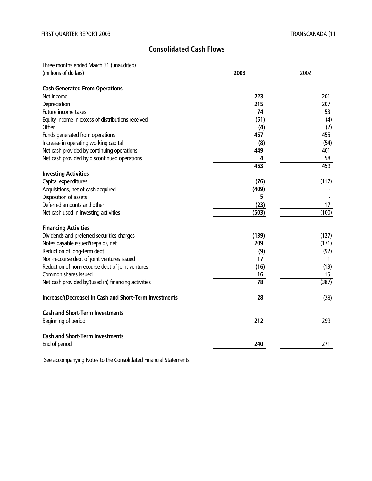# **Consolidated Cash Flows**

Three months ended March 31 (unaudited)

| (millions of dollars)                                  | 2003  | 2002  |
|--------------------------------------------------------|-------|-------|
| <b>Cash Generated From Operations</b>                  |       |       |
| Net income                                             | 223   | 201   |
| Depreciation                                           | 215   | 207   |
| Future income taxes                                    | 74    | 53    |
| Equity income in excess of distributions received      | (51)  | (4)   |
| Other                                                  | (4)   | (2)   |
| Funds generated from operations                        | 457   | 455   |
| Increase in operating working capital                  | (8)   | (54)  |
| Net cash provided by continuing operations             | 449   | 401   |
| Net cash provided by discontinued operations           | 4     | 58    |
|                                                        | 453   | 459   |
| <b>Investing Activities</b>                            |       |       |
| Capital expenditures                                   | (76)  | (117) |
| Acquisitions, net of cash acquired                     | (409) |       |
| Disposition of assets                                  | 5     |       |
| Deferred amounts and other                             | (23)  | 17    |
| Net cash used in investing activities                  | (503) | (100) |
| <b>Financing Activities</b>                            |       |       |
| Dividends and preferred securities charges             | (139) | (127) |
| Notes payable issued/(repaid), net                     | 209   | (171) |
| Reduction of long-term debt                            | (9)   | (92)  |
| Non-recourse debt of joint ventures issued             | 17    | 1     |
| Reduction of non-recourse debt of joint ventures       | (16)  | (13)  |
| Common shares issued                                   | 16    | 15    |
| Net cash provided by/(used in) financing activities    | 78    | (387) |
|                                                        |       |       |
| Increase/(Decrease) in Cash and Short-Term Investments | 28    | (28)  |
| <b>Cash and Short-Term Investments</b>                 |       |       |
| Beginning of period                                    | 212   | 299   |
| <b>Cash and Short-Term Investments</b>                 |       |       |
| End of period                                          | 240   | 271   |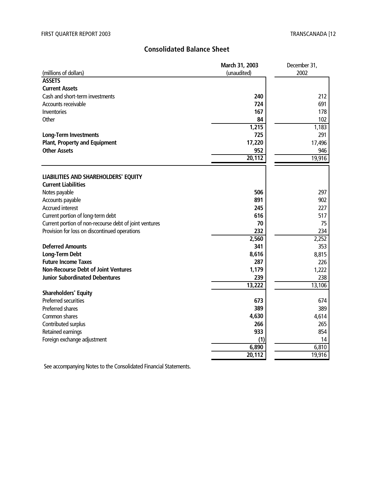# **Consolidated Balance Sheet**

|                                                        | March 31, 2003 | December 31, |
|--------------------------------------------------------|----------------|--------------|
| (millions of dollars)                                  | (unaudited)    | 2002         |
| <b>ASSETS</b>                                          |                |              |
| <b>Current Assets</b>                                  |                |              |
| Cash and short-term investments                        | 240            | 212          |
| Accounts receivable                                    | 724            | 691          |
| Inventories                                            | 167            | 178          |
| Other                                                  | 84             | 102          |
|                                                        | 1,215          | 1,183        |
| <b>Long-Term Investments</b>                           | 725            | 291          |
| <b>Plant, Property and Equipment</b>                   | 17,220         | 17,496       |
| <b>Other Assets</b>                                    | 952            | 946          |
|                                                        | 20,112         | 19,916       |
|                                                        |                |              |
| LIABILITIES AND SHAREHOLDERS' EQUITY                   |                |              |
| <b>Current Liabilities</b>                             |                |              |
| Notes payable                                          | 506            | 297          |
| Accounts payable                                       | 891            | 902          |
| Accrued interest                                       | 245            | 227          |
| Current portion of long-term debt                      | 616            | 517          |
| Current portion of non-recourse debt of joint ventures | 70             | 75           |
| Provision for loss on discontinued operations          | 232            | 234          |
|                                                        | 2,560          | 2,252        |
| <b>Deferred Amounts</b>                                | 341            | 353          |
| <b>Long-Term Debt</b>                                  | 8,616          | 8,815        |
| <b>Future Income Taxes</b>                             | 287            | 226          |
| <b>Non-Recourse Debt of Joint Ventures</b>             | 1,179          | 1,222        |
| <b>Junior Subordinated Debentures</b>                  | 239            | 238          |
|                                                        | 13,222         | 13,106       |
| <b>Shareholders' Equity</b>                            |                |              |
| <b>Preferred securities</b>                            | 673            | 674          |
| Preferred shares                                       | 389            | 389          |
| Common shares                                          | 4,630          | 4,614        |
| Contributed surplus                                    | 266            | 265          |
| Retained earnings                                      | 933            | 854          |
| Foreign exchange adjustment                            | (1)            | 14           |
|                                                        | 6,890          | 6,810        |
|                                                        | 20,112         | 19,916       |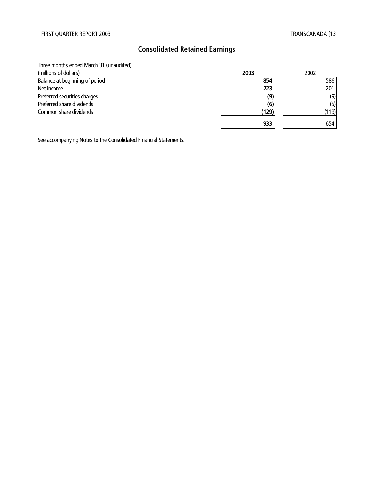# **Consolidated Retained Earnings**

Three months ended March 31 (unaudited)

| (millions of dollars)          | 2003  | 2002  |
|--------------------------------|-------|-------|
| Balance at beginning of period | 854   | 586   |
| Net income                     | 223   | 201   |
| Preferred securities charges   | (9)   | (9)   |
| Preferred share dividends      | (6)   | (5)   |
| Common share dividends         | (129) | (119) |
|                                | 933   | 654   |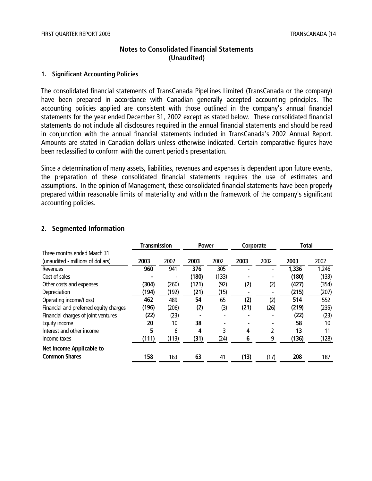# **Notes to Consolidated Financial Statements (Unaudited)**

#### **1. Significant Accounting Policies**

The consolidated financial statements of TransCanada PipeLines Limited (TransCanada or the company) have been prepared in accordance with Canadian generally accepted accounting principles. The accounting policies applied are consistent with those outlined in the company's annual financial statements for the year ended December 31, 2002 except as stated below. These consolidated financial statements do not include all disclosures required in the annual financial statements and should be read in conjunction with the annual financial statements included in TransCanada's 2002 Annual Report. Amounts are stated in Canadian dollars unless otherwise indicated. Certain comparative figures have been reclassified to conform with the current period's presentation.

Since a determination of many assets, liabilities, revenues and expenses is dependent upon future events, the preparation of these consolidated financial statements requires the use of estimates and assumptions. In the opinion of Management, these consolidated financial statements have been properly prepared within reasonable limits of materiality and within the framework of the company's significant accounting policies.

#### **2. Segmented Information**

|                                        | <b>Transmission</b> |       | <b>Power</b> |       | Corporate |      | <b>Total</b> |       |
|----------------------------------------|---------------------|-------|--------------|-------|-----------|------|--------------|-------|
| Three months ended March 31            |                     |       |              |       |           |      |              |       |
| (unaudited - millions of dollars)      | 2003                | 2002  | 2003         | 2002  | 2003      | 2002 | 2003         | 2002  |
| <b>Revenues</b>                        | 960                 | 941   | 376          | 305   |           |      | 1,336        | 1,246 |
| Cost of sales                          |                     |       | (180)        | (133) |           |      | (180)        | (133) |
| Other costs and expenses               | (304)               | (260) | (121)        | (92)  | (2)       | (2)  | (427)        | (354) |
| Depreciation                           | (194)               | (192) | (21)         | (15)  |           |      | (215)        | (207) |
| Operating income/(loss)                | 462                 | 489   | 54           | 65    | (2)       | (2)  | 514          | 552   |
| Financial and preferred equity charges | (196)               | (206) | (2)          | (3)   | (21)      | (26) | (219)        | (235) |
| Financial charges of joint ventures    | (22)                | (23)  |              |       |           |      | (22)         | (23)  |
| Equity income                          | 20                  | 10    | 38           |       |           |      | 58           | 10    |
| Interest and other income              | 5                   | 6     | 4            | 3     | 4         | 2    | 13           | 11    |
| Income taxes                           | (111)               | (113) | (31)         | (24)  | 6         | 9    | (136)        | (128) |
| <b>Net Income Applicable to</b>        |                     |       |              |       |           |      |              |       |
| <b>Common Shares</b>                   | 158                 | 163   | 63           | 41    | (13)      | (17) | 208          | 187   |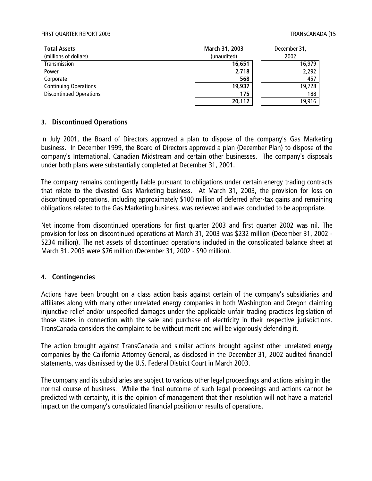#### FIRST QUARTER REPORT 2003 TRANSCANADA [15

| <b>Total Assets</b>            | March 31, 2003 | December 31, |
|--------------------------------|----------------|--------------|
| (millions of dollars)          | (unaudited)    | 2002         |
| Transmission                   | 16,651         | 16,979       |
| Power                          | 2,718          | 2,292        |
| Corporate                      | 568            | 457          |
| <b>Continuing Operations</b>   | 19,937         | 19,728       |
| <b>Discontinued Operations</b> | 175            | 188          |
|                                | 20,112         | 19,916       |

#### **3. Discontinued Operations**

In July 2001, the Board of Directors approved a plan to dispose of the company's Gas Marketing business. In December 1999, the Board of Directors approved a plan (December Plan) to dispose of the company's International, Canadian Midstream and certain other businesses. The company's disposals under both plans were substantially completed at December 31, 2001.

The company remains contingently liable pursuant to obligations under certain energy trading contracts that relate to the divested Gas Marketing business. At March 31, 2003, the provision for loss on discontinued operations, including approximately \$100 million of deferred after-tax gains and remaining obligations related to the Gas Marketing business, was reviewed and was concluded to be appropriate.

Net income from discontinued operations for first quarter 2003 and first quarter 2002 was nil. The provision for loss on discontinued operations at March 31, 2003 was \$232 million (December 31, 2002 - \$234 million). The net assets of discontinued operations included in the consolidated balance sheet at March 31, 2003 were \$76 million (December 31, 2002 - \$90 million).

#### **4. Contingencies**

Actions have been brought on a class action basis against certain of the company's subsidiaries and affiliates along with many other unrelated energy companies in both Washington and Oregon claiming injunctive relief and/or unspecified damages under the applicable unfair trading practices legislation of those states in connection with the sale and purchase of electricity in their respective jurisdictions. TransCanada considers the complaint to be without merit and will be vigorously defending it.

The action brought against TransCanada and similar actions brought against other unrelated energy companies by the California Attorney General, as disclosed in the December 31, 2002 audited financial statements, was dismissed by the U.S. Federal District Court in March 2003.

The company and its subsidiaries are subject to various other legal proceedings and actions arising in the normal course of business. While the final outcome of such legal proceedings and actions cannot be predicted with certainty, it is the opinion of management that their resolution will not have a material impact on the company's consolidated financial position or results of operations.